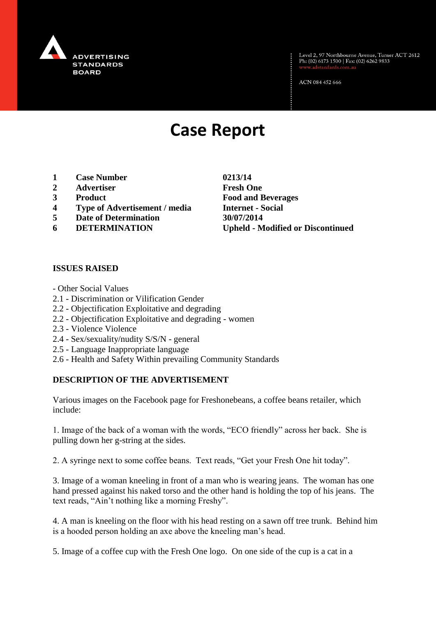

Level 2, 97 Northbourne Avenue, Turner ACT 2612<br>Ph: (02) 6173 1500 | Fax: (02) 6262 9833

ACN 084 452 666

# **Case Report**

- **1 Case Number 0213/14**
- **2 Advertiser Fresh One**
- **3 Product Food and Beverages**
- **4 Type of Advertisement / media Internet - Social**
- **5 Date of Determination 30/07/2014**
- 

**6 DETERMINATION Upheld - Modified or Discontinued**

#### **ISSUES RAISED**

- Other Social Values
- 2.1 Discrimination or Vilification Gender
- 2.2 Objectification Exploitative and degrading
- 2.2 Objectification Exploitative and degrading women
- 2.3 Violence Violence
- 2.4 Sex/sexuality/nudity S/S/N general
- 2.5 Language Inappropriate language
- 2.6 Health and Safety Within prevailing Community Standards

#### **DESCRIPTION OF THE ADVERTISEMENT**

Various images on the Facebook page for Freshonebeans, a coffee beans retailer, which include:

1. Image of the back of a woman with the words, "ECO friendly" across her back. She is pulling down her g-string at the sides.

2. A syringe next to some coffee beans. Text reads, "Get your Fresh One hit today".

3. Image of a woman kneeling in front of a man who is wearing jeans. The woman has one hand pressed against his naked torso and the other hand is holding the top of his jeans. The text reads, "Ain't nothing like a morning Freshy".

4. A man is kneeling on the floor with his head resting on a sawn off tree trunk. Behind him is a hooded person holding an axe above the kneeling man's head.

5. Image of a coffee cup with the Fresh One logo. On one side of the cup is a cat in a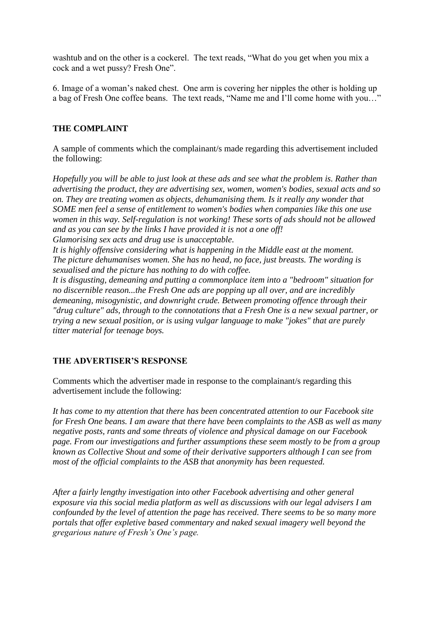washtub and on the other is a cockerel. The text reads, "What do you get when you mix a cock and a wet pussy? Fresh One".

6. Image of a woman's naked chest. One arm is covering her nipples the other is holding up a bag of Fresh One coffee beans. The text reads, "Name me and I'll come home with you…"

# **THE COMPLAINT**

A sample of comments which the complainant/s made regarding this advertisement included the following:

*Hopefully you will be able to just look at these ads and see what the problem is. Rather than advertising the product, they are advertising sex, women, women's bodies, sexual acts and so on. They are treating women as objects, dehumanising them. Is it really any wonder that SOME men feel a sense of entitlement to women's bodies when companies like this one use women in this way. Self-regulation is not working! These sorts of ads should not be allowed and as you can see by the links I have provided it is not a one off! Glamorising sex acts and drug use is unacceptable.*

*It is highly offensive considering what is happening in the Middle east at the moment. The picture dehumanises women. She has no head, no face, just breasts. The wording is sexualised and the picture has nothing to do with coffee.*

*It is disgusting, demeaning and putting a commonplace item into a "bedroom" situation for no discernible reason...the Fresh One ads are popping up all over, and are incredibly demeaning, misogynistic, and downright crude. Between promoting offence through their "drug culture" ads, through to the connotations that a Fresh One is a new sexual partner, or trying a new sexual position, or is using vulgar language to make "jokes" that are purely titter material for teenage boys.*

# **THE ADVERTISER'S RESPONSE**

Comments which the advertiser made in response to the complainant/s regarding this advertisement include the following:

*It has come to my attention that there has been concentrated attention to our Facebook site for Fresh One beans. I am aware that there have been complaints to the ASB as well as many negative posts, rants and some threats of violence and physical damage on our Facebook page. From our investigations and further assumptions these seem mostly to be from a group known as Collective Shout and some of their derivative supporters although I can see from most of the official complaints to the ASB that anonymity has been requested.*

*After a fairly lengthy investigation into other Facebook advertising and other general exposure via this social media platform as well as discussions with our legal advisers I am confounded by the level of attention the page has received. There seems to be so many more portals that offer expletive based commentary and naked sexual imagery well beyond the gregarious nature of Fresh's One's page.*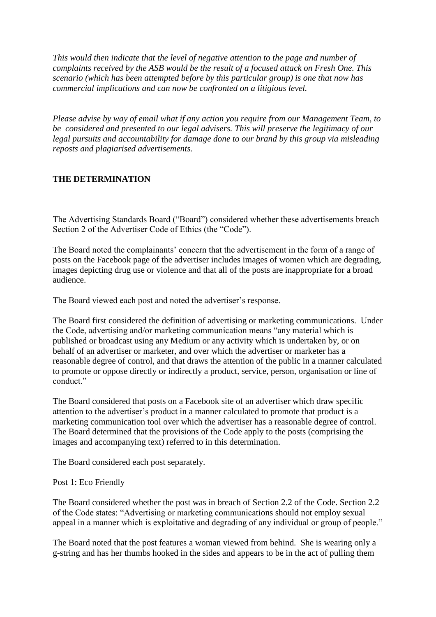*This would then indicate that the level of negative attention to the page and number of complaints received by the ASB would be the result of a focused attack on Fresh One. This scenario (which has been attempted before by this particular group) is one that now has commercial implications and can now be confronted on a litigious level.* 

*Please advise by way of email what if any action you require from our Management Team, to be considered and presented to our legal advisers. This will preserve the legitimacy of our legal pursuits and accountability for damage done to our brand by this group via misleading reposts and plagiarised advertisements.*

# **THE DETERMINATION**

The Advertising Standards Board ("Board") considered whether these advertisements breach Section 2 of the Advertiser Code of Ethics (the "Code").

The Board noted the complainants' concern that the advertisement in the form of a range of posts on the Facebook page of the advertiser includes images of women which are degrading, images depicting drug use or violence and that all of the posts are inappropriate for a broad audience.

The Board viewed each post and noted the advertiser's response.

The Board first considered the definition of advertising or marketing communications. Under the Code, advertising and/or marketing communication means "any material which is published or broadcast using any Medium or any activity which is undertaken by, or on behalf of an advertiser or marketer, and over which the advertiser or marketer has a reasonable degree of control, and that draws the attention of the public in a manner calculated to promote or oppose directly or indirectly a product, service, person, organisation or line of conduct."

The Board considered that posts on a Facebook site of an advertiser which draw specific attention to the advertiser's product in a manner calculated to promote that product is a marketing communication tool over which the advertiser has a reasonable degree of control. The Board determined that the provisions of the Code apply to the posts (comprising the images and accompanying text) referred to in this determination.

The Board considered each post separately.

#### Post 1: Eco Friendly

The Board considered whether the post was in breach of Section 2.2 of the Code. Section 2.2 of the Code states: "Advertising or marketing communications should not employ sexual appeal in a manner which is exploitative and degrading of any individual or group of people."

The Board noted that the post features a woman viewed from behind. She is wearing only a g-string and has her thumbs hooked in the sides and appears to be in the act of pulling them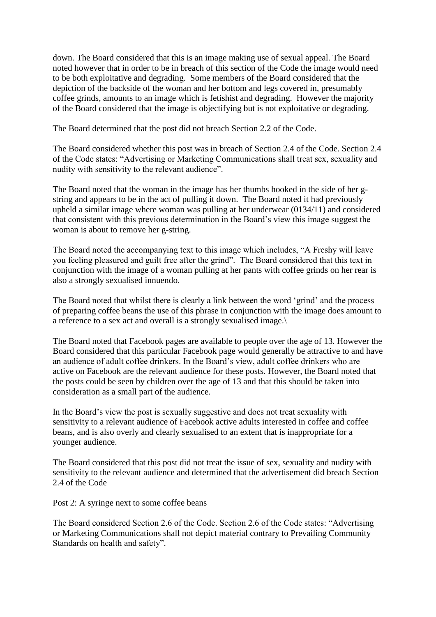down. The Board considered that this is an image making use of sexual appeal. The Board noted however that in order to be in breach of this section of the Code the image would need to be both exploitative and degrading. Some members of the Board considered that the depiction of the backside of the woman and her bottom and legs covered in, presumably coffee grinds, amounts to an image which is fetishist and degrading. However the majority of the Board considered that the image is objectifying but is not exploitative or degrading.

The Board determined that the post did not breach Section 2.2 of the Code.

The Board considered whether this post was in breach of Section 2.4 of the Code. Section 2.4 of the Code states: "Advertising or Marketing Communications shall treat sex, sexuality and nudity with sensitivity to the relevant audience".

The Board noted that the woman in the image has her thumbs hooked in the side of her gstring and appears to be in the act of pulling it down. The Board noted it had previously upheld a similar image where woman was pulling at her underwear (0134/11) and considered that consistent with this previous determination in the Board's view this image suggest the woman is about to remove her g-string.

The Board noted the accompanying text to this image which includes, "A Freshy will leave you feeling pleasured and guilt free after the grind". The Board considered that this text in conjunction with the image of a woman pulling at her pants with coffee grinds on her rear is also a strongly sexualised innuendo.

The Board noted that whilst there is clearly a link between the word 'grind' and the process of preparing coffee beans the use of this phrase in conjunction with the image does amount to a reference to a sex act and overall is a strongly sexualised image.\

The Board noted that Facebook pages are available to people over the age of 13. However the Board considered that this particular Facebook page would generally be attractive to and have an audience of adult coffee drinkers. In the Board's view, adult coffee drinkers who are active on Facebook are the relevant audience for these posts. However, the Board noted that the posts could be seen by children over the age of 13 and that this should be taken into consideration as a small part of the audience.

In the Board's view the post is sexually suggestive and does not treat sexuality with sensitivity to a relevant audience of Facebook active adults interested in coffee and coffee beans, and is also overly and clearly sexualised to an extent that is inappropriate for a younger audience.

The Board considered that this post did not treat the issue of sex, sexuality and nudity with sensitivity to the relevant audience and determined that the advertisement did breach Section 2.4 of the Code

Post 2: A syringe next to some coffee beans

The Board considered Section 2.6 of the Code. Section 2.6 of the Code states: "Advertising or Marketing Communications shall not depict material contrary to Prevailing Community Standards on health and safety".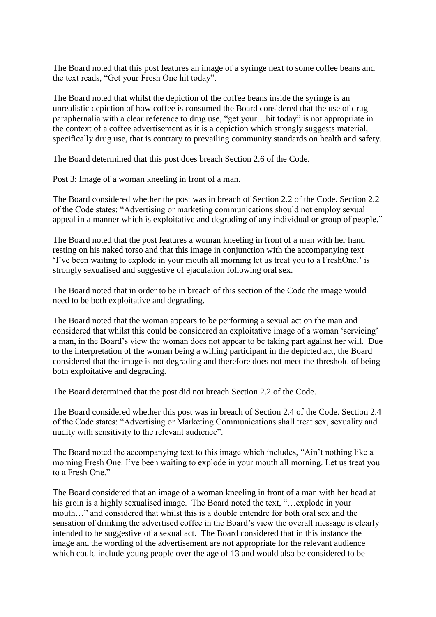The Board noted that this post features an image of a syringe next to some coffee beans and the text reads, "Get your Fresh One hit today".

The Board noted that whilst the depiction of the coffee beans inside the syringe is an unrealistic depiction of how coffee is consumed the Board considered that the use of drug paraphernalia with a clear reference to drug use, "get your…hit today" is not appropriate in the context of a coffee advertisement as it is a depiction which strongly suggests material, specifically drug use, that is contrary to prevailing community standards on health and safety.

The Board determined that this post does breach Section 2.6 of the Code.

Post 3: Image of a woman kneeling in front of a man.

The Board considered whether the post was in breach of Section 2.2 of the Code. Section 2.2 of the Code states: "Advertising or marketing communications should not employ sexual appeal in a manner which is exploitative and degrading of any individual or group of people."

The Board noted that the post features a woman kneeling in front of a man with her hand resting on his naked torso and that this image in conjunction with the accompanying text 'I've been waiting to explode in your mouth all morning let us treat you to a FreshOne.' is strongly sexualised and suggestive of ejaculation following oral sex.

The Board noted that in order to be in breach of this section of the Code the image would need to be both exploitative and degrading.

The Board noted that the woman appears to be performing a sexual act on the man and considered that whilst this could be considered an exploitative image of a woman 'servicing' a man, in the Board's view the woman does not appear to be taking part against her will. Due to the interpretation of the woman being a willing participant in the depicted act, the Board considered that the image is not degrading and therefore does not meet the threshold of being both exploitative and degrading.

The Board determined that the post did not breach Section 2.2 of the Code.

The Board considered whether this post was in breach of Section 2.4 of the Code. Section 2.4 of the Code states: "Advertising or Marketing Communications shall treat sex, sexuality and nudity with sensitivity to the relevant audience".

The Board noted the accompanying text to this image which includes, "Ain't nothing like a morning Fresh One. I've been waiting to explode in your mouth all morning. Let us treat you to a Fresh One."

The Board considered that an image of a woman kneeling in front of a man with her head at his groin is a highly sexualised image. The Board noted the text, "...explode in your mouth…" and considered that whilst this is a double entendre for both oral sex and the sensation of drinking the advertised coffee in the Board's view the overall message is clearly intended to be suggestive of a sexual act. The Board considered that in this instance the image and the wording of the advertisement are not appropriate for the relevant audience which could include young people over the age of 13 and would also be considered to be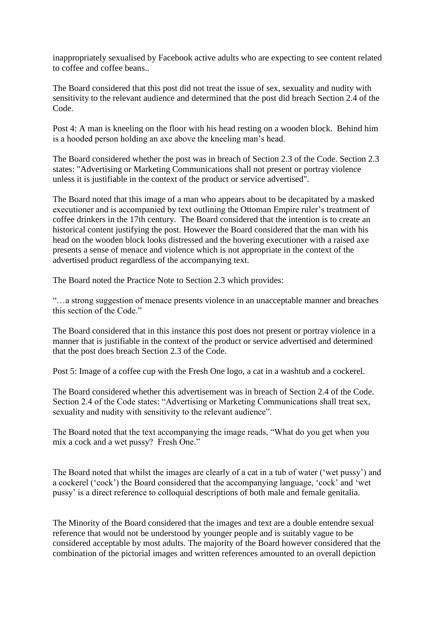inappropriately sexualised by Facebook active adults who are expecting to see content related to coffee and coffee beans..

The Board considered that this post did not treat the issue of sex, sexuality and nudity with sensitivity to the relevant audience and determined that the post did breach Section 2.4 of the Code.

Post 4: A man is kneeling on the floor with his head resting on a wooden block. Behind him is a hooded person holding an axe above the kneeling man's head.

The Board considered whether the post was in breach of Section 2.3 of the Code. Section 2.3 states: "Advertising or Marketing Communications shall not present or portray violence unless it is justifiable in the context of the product or service advertised".

The Board noted that this image of a man who appears about to be decapitated by a masked executioner and is accompanied by text outlining the Ottoman Empire ruler's treatment of coffee drinkers in the 17th century. The Board considered that the intention is to create an historical content justifying the post. However the Board considered that the man with his head on the wooden block looks distressed and the hovering executioner with a raised axe presents a sense of menace and violence which is not appropriate in the context of the advertised product regardless of the accompanying text.

The Board noted the Practice Note to Section 2.3 which provides:

"…a strong suggestion of menace presents violence in an unacceptable manner and breaches this section of the Code."

The Board considered that in this instance this post does not present or portray violence in a manner that is justifiable in the context of the product or service advertised and determined that the post does breach Section 2.3 of the Code.

Post 5: Image of a coffee cup with the Fresh One logo, a cat in a washtub and a cockerel.

The Board considered whether this advertisement was in breach of Section 2.4 of the Code. Section 2.4 of the Code states: "Advertising or Marketing Communications shall treat sex, sexuality and nudity with sensitivity to the relevant audience".

The Board noted that the text accompanying the image reads, "What do you get when you mix a cock and a wet pussy? Fresh One."

The Board noted that whilst the images are clearly of a cat in a tub of water ('wet pussy') and a cockerel ('cock') the Board considered that the accompanying language, 'cock' and 'wet pussy' is a direct reference to colloquial descriptions of both male and female genitalia.

The Minority of the Board considered that the images and text are a double entendre sexual reference that would not be understood by younger people and is suitably vague to be considered acceptable by most adults. The majority of the Board however considered that the combination of the pictorial images and written references amounted to an overall depiction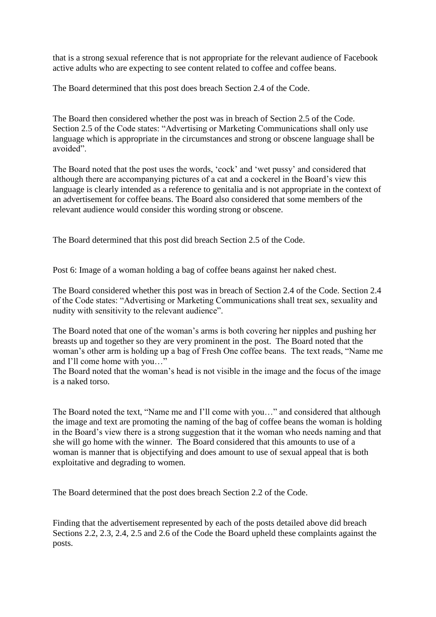that is a strong sexual reference that is not appropriate for the relevant audience of Facebook active adults who are expecting to see content related to coffee and coffee beans.

The Board determined that this post does breach Section 2.4 of the Code.

The Board then considered whether the post was in breach of Section 2.5 of the Code. Section 2.5 of the Code states: "Advertising or Marketing Communications shall only use language which is appropriate in the circumstances and strong or obscene language shall be avoided".

The Board noted that the post uses the words, 'cock' and 'wet pussy' and considered that although there are accompanying pictures of a cat and a cockerel in the Board's view this language is clearly intended as a reference to genitalia and is not appropriate in the context of an advertisement for coffee beans. The Board also considered that some members of the relevant audience would consider this wording strong or obscene.

The Board determined that this post did breach Section 2.5 of the Code.

Post 6: Image of a woman holding a bag of coffee beans against her naked chest.

The Board considered whether this post was in breach of Section 2.4 of the Code. Section 2.4 of the Code states: "Advertising or Marketing Communications shall treat sex, sexuality and nudity with sensitivity to the relevant audience".

The Board noted that one of the woman's arms is both covering her nipples and pushing her breasts up and together so they are very prominent in the post. The Board noted that the woman's other arm is holding up a bag of Fresh One coffee beans. The text reads, "Name me and I'll come home with you…"

The Board noted that the woman's head is not visible in the image and the focus of the image is a naked torso.

The Board noted the text, "Name me and I'll come with you…" and considered that although the image and text are promoting the naming of the bag of coffee beans the woman is holding in the Board's view there is a strong suggestion that it the woman who needs naming and that she will go home with the winner. The Board considered that this amounts to use of a woman is manner that is objectifying and does amount to use of sexual appeal that is both exploitative and degrading to women.

The Board determined that the post does breach Section 2.2 of the Code.

Finding that the advertisement represented by each of the posts detailed above did breach Sections 2.2, 2.3, 2.4, 2.5 and 2.6 of the Code the Board upheld these complaints against the posts.